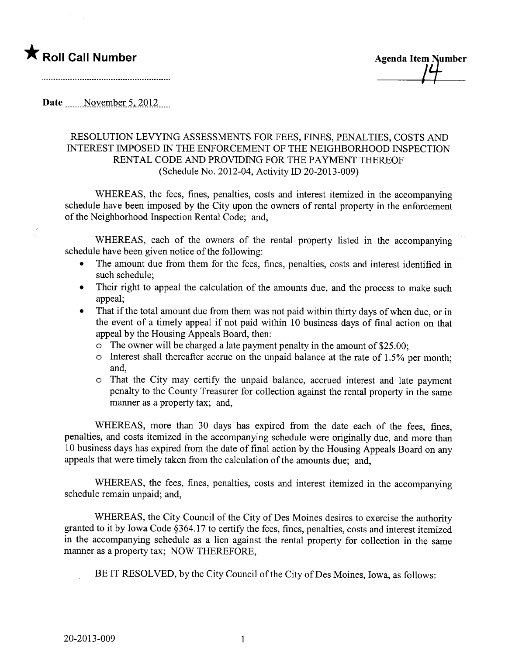

**Agenda Item Number** 

Date  $\qquad$  November 5, 2012

## RESOLUTION LEVYING ASSESSMENTS FOR FEES, FINES, PENALTIES, COSTS AND INTEREST IMPOSED IN THE ENFORCEMENT OF THE NEIGHBORHOOD INSPECTION RENTAL CODE AND PROVIDING FOR THE PAYMENT THEREOF (Schedule No. 2012-04, Activity ID 20-2013-009)

WHEREAS, the fees, fines, penalties, costs and interest itemized in the accompanying schedule have been imposed by the City upon the owners of rental property in the enforcement of the Neighborhood Inspection Rental Code; and,

WHEREAS, each of the owners of the rental property listed in the accompanying schedule have been given notice of the following:

- · The amount due from them for the fees, fines, penalties, costs and interest identified in such schedule;
- Their right to appeal the calculation of the amounts due, and the process to make such appeal;
- That if the total amount due from them was not paid within thirty days of when due, or in the event of a timely appeal if not paid within 10 business days of final action on that appeal by the Housing Appeals Board, then:
	- $\circ$  The owner will be charged a late payment penalty in the amount of \$25.00;
	- o Interest shall thereafter accrue on the unpaid balance at the rate of 1.5% per month; and,
	- o That the City may certify the unpaid balance, accrued interest and late payment penalty to the County Treasurer for collection against the rental property in the same manner as a property tax; and,

WHEREAS, more than 30 days has expired from the date each of the fees, fines, penalties, and costs itemized in the accompanying schedule were originally due, and more than 10 business days has expired from the date of final action by the Housing Appeals Board on any appeals that were timely taken from the calculation of the amounts due; and,

WHEREAS, the fees, fines, penalties, costs and interest itemized in the accompanying schedule remain unpaid; and,

WHEREAS, the City Council of the City of Des Moines desires to exercise the authority granted to it by Iowa Code §364.17 to certify the fees, fines, penalties, costs and interest itemized in the accompanying schedule as a lien against the rental property for collection in the same maner as a property tax; NOW THEREFORE,

BE IT RESOLVED, by the City Council of the City of Des Moines, Iowa, as follows: